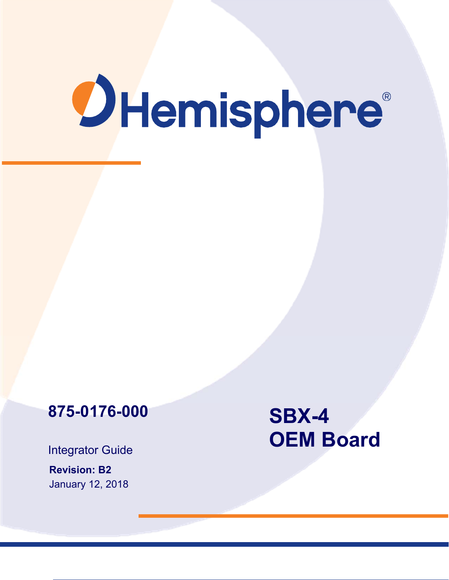# **OHemisphere**®

# **875-0176-000**

Integrator Guide

**Revision: B2**  January 12, 2018

# **SBX-4 OEM Board**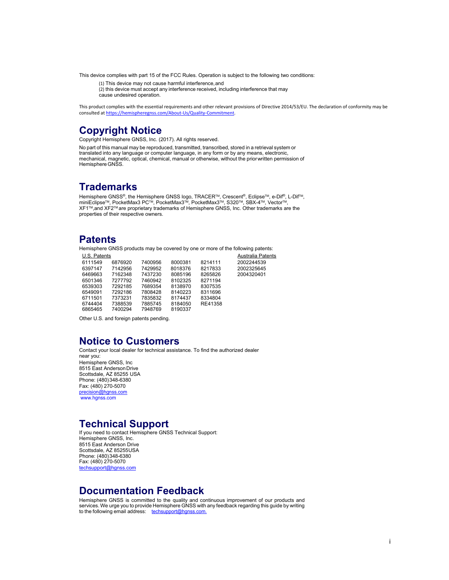This device complies with part 15 of the FCC Rules. Operation is subject to the following two conditions:

(1) This device may not cause harmful interference, and

 $\overline{a}$  (2) this device must accept any interference received, including interference that may

cause undesired operation.

This product complies with the essential requirements and other relevant provisions of Directive 2014/53/EU. The declaration of conformity may be consulted at https://hemispheregnss.com/About‐Us/Quality‐Commitment.

#### **Copyright Notice**

Copyright Hemisphere GNSS, Inc. (2017). All rights reserved.

No part of this manual may be reproduced, transmitted, transcribed, stored in a retrieval system or translated into any language or computer language, in any form or by any means, electronic, mechanical, magnetic, optical, chemical, manual or otherwise, without the prior written permission of Hemisphere GNSS.

#### **Trademarks**

Hemisphere GNSS®, the Hemisphere GNSS logo, TRACER™, Crescent®, Eclipse™, e-Dif®, L-Dif™,<br>miniEclipse™, PocketMax3 PC™, PocketMax3™, PocketMax3™, S320™, SBX-4™, Vector™, XF1TM,and XF2TM are proprietary trademarks of Hemisphere GNSS, Inc. Other trademarks are the properties of their respective owners.

#### **Patents**

Hemisphere GNSS products may be covered by one or more of the following patents:

| U.S. Patents |         |         |         |         | Australia Patents |
|--------------|---------|---------|---------|---------|-------------------|
| 6111549      | 6876920 | 7400956 | 8000381 | 8214111 | 2002244539        |
| 6397147      | 7142956 | 7429952 | 8018376 | 8217833 | 2002325645        |
| 6469663      | 7162348 | 7437230 | 8085196 | 8265826 | 2004320401        |
| 6501346      | 7277792 | 7460942 | 8102325 | 8271194 |                   |
| 6539303      | 7292185 | 7689354 | 8138970 | 8307535 |                   |
| 6549091      | 7292186 | 7808428 | 8140223 | 8311696 |                   |
| 6711501      | 7373231 | 7835832 | 8174437 | 8334804 |                   |
| 6744404      | 7388539 | 7885745 | 8184050 | RE41358 |                   |
| 6865465      | 7400294 | 7948769 | 8190337 |         |                   |

Other U.S. and foreign patents pending.

#### **Notice to Customers**

Contact your local dealer for technical assistance. To find the authorized dealer near you: Hemisphere GNSS, Inc 8515 East Anderson Drive Scottsdale, AZ 85255 USA Phone: (480) 348-6380 Fax: (480) 270-5070 precision@hgnss.com www.hgnss.com

#### **Technical Support**

If you need to contact Hemisphere GNSS Technical Support: Hemisphere GNSS, Inc. 8515 East Anderson Drive Scottsdale, AZ 85255USA Phone: (480) 348-6380 Fax: (480) 270-5070 techsupport@hgnss.com

#### **Documentation Feedback**

Hemisphere GNSS is committed to the quality and continuous improvement of our products and<br>services. We urge you to provide Hemisphere GNSS with any feedback regarding this guide by writing<br>to the following email address: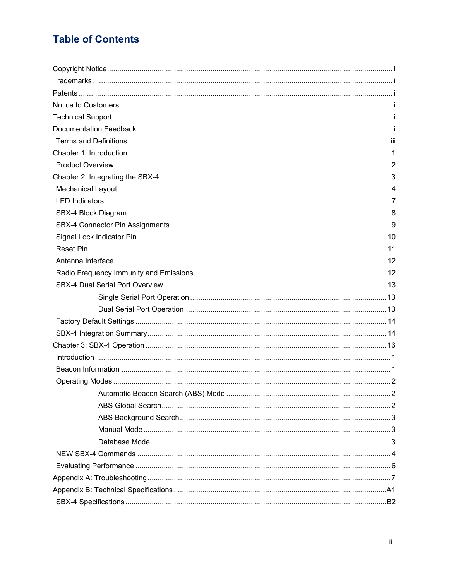# **Table of Contents**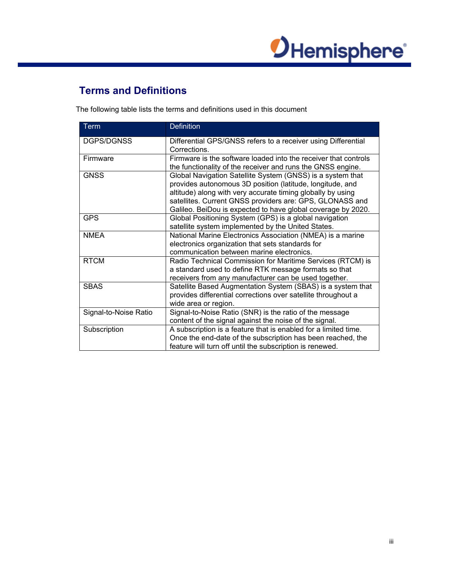

## **Terms and Definitions**

The following table lists the terms and definitions used in this document

| <b>Term</b>           | <b>Definition</b>                                                                                                                                                                                                                                                                                                  |
|-----------------------|--------------------------------------------------------------------------------------------------------------------------------------------------------------------------------------------------------------------------------------------------------------------------------------------------------------------|
| DGPS/DGNSS            | Differential GPS/GNSS refers to a receiver using Differential<br>Corrections.                                                                                                                                                                                                                                      |
| Firmware              | Firmware is the software loaded into the receiver that controls<br>the functionality of the receiver and runs the GNSS engine.                                                                                                                                                                                     |
| <b>GNSS</b>           | Global Navigation Satellite System (GNSS) is a system that<br>provides autonomous 3D position (latitude, longitude, and<br>altitude) along with very accurate timing globally by using<br>satellites. Current GNSS providers are: GPS, GLONASS and<br>Galileo. BeiDou is expected to have global coverage by 2020. |
| <b>GPS</b>            | Global Positioning System (GPS) is a global navigation<br>satellite system implemented by the United States.                                                                                                                                                                                                       |
| <b>NMEA</b>           | National Marine Electronics Association (NMEA) is a marine<br>electronics organization that sets standards for<br>communication between marine electronics.                                                                                                                                                        |
| <b>RTCM</b>           | Radio Technical Commission for Maritime Services (RTCM) is<br>a standard used to define RTK message formats so that<br>receivers from any manufacturer can be used together.                                                                                                                                       |
| <b>SBAS</b>           | Satellite Based Augmentation System (SBAS) is a system that<br>provides differential corrections over satellite throughout a<br>wide area or region.                                                                                                                                                               |
| Signal-to-Noise Ratio | Signal-to-Noise Ratio (SNR) is the ratio of the message<br>content of the signal against the noise of the signal.                                                                                                                                                                                                  |
| Subscription          | A subscription is a feature that is enabled for a limited time.<br>Once the end-date of the subscription has been reached, the<br>feature will turn off until the subscription is renewed.                                                                                                                         |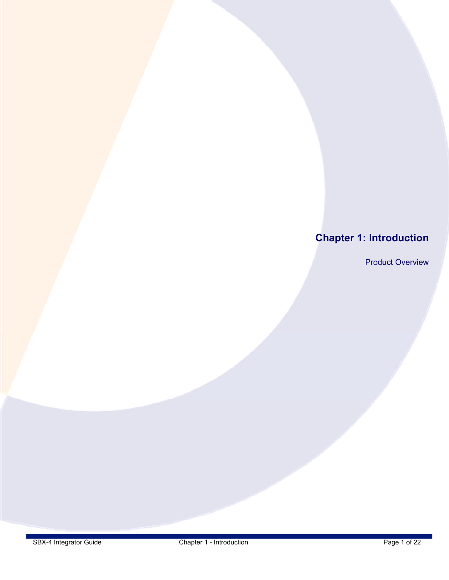# **Chapter 1: Introduction**

Product Overview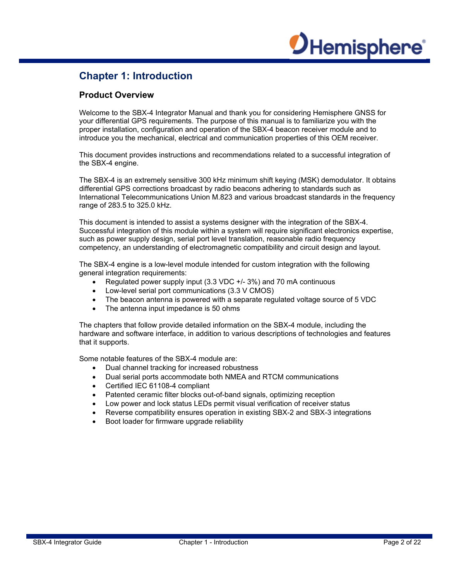# *OHemisphere*

## **Chapter 1: Introduction**

#### **Product Overview**

Welcome to the SBX-4 Integrator Manual and thank you for considering Hemisphere GNSS for your differential GPS requirements. The purpose of this manual is to familiarize you with the proper installation, configuration and operation of the SBX-4 beacon receiver module and to introduce you the mechanical, electrical and communication properties of this OEM receiver.

This document provides instructions and recommendations related to a successful integration of the SBX-4 engine.

The SBX-4 is an extremely sensitive 300 kHz minimum shift keying (MSK) demodulator. It obtains differential GPS corrections broadcast by radio beacons adhering to standards such as International Telecommunications Union M.823 and various broadcast standards in the frequency range of 283.5 to 325.0 kHz.

This document is intended to assist a systems designer with the integration of the SBX-4. Successful integration of this module within a system will require significant electronics expertise, such as power supply design, serial port level translation, reasonable radio frequency competency, an understanding of electromagnetic compatibility and circuit design and layout.

The SBX-4 engine is a low-level module intended for custom integration with the following general integration requirements:

- Regulated power supply input (3.3 VDC +/- 3%) and 70 mA continuous
- Low-level serial port communications (3.3 V CMOS)
- The beacon antenna is powered with a separate regulated voltage source of 5 VDC
- The antenna input impedance is 50 ohms

The chapters that follow provide detailed information on the SBX-4 module, including the hardware and software interface, in addition to various descriptions of technologies and features that it supports.

Some notable features of the SBX-4 module are:

- Dual channel tracking for increased robustness
- Dual serial ports accommodate both NMEA and RTCM communications
- Certified IEC 61108-4 compliant
- Patented ceramic filter blocks out-of-band signals, optimizing reception
- Low power and lock status LEDs permit visual verification of receiver status
- Reverse compatibility ensures operation in existing SBX-2 and SBX-3 integrations
- Boot loader for firmware upgrade reliability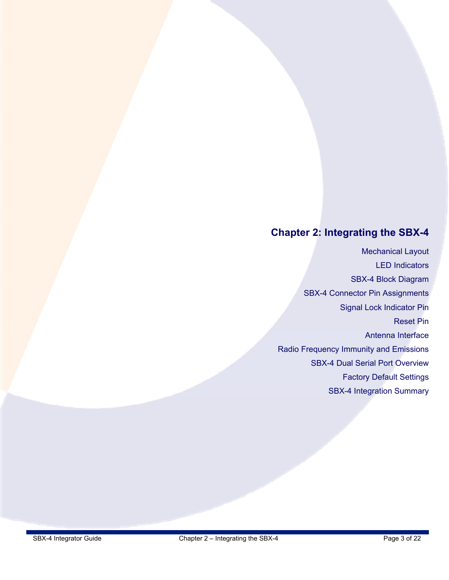# **Chapter 2: Integrating the SBX-4**

Mechanical Layout LED Indicators SBX-4 Block Diagram SBX-4 Connector Pin Assignments Signal Lock Indicator Pin Reset Pin Antenna Interface Radio Frequency Immunity and Emissions SBX-4 Dual Serial Port Overview Factory Default Settings SBX-4 Integration Summary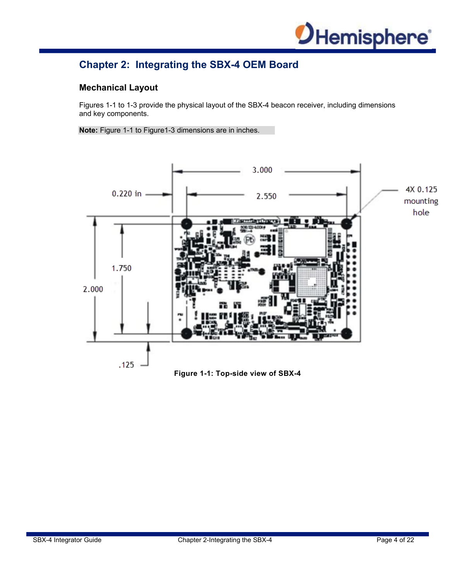

## **Chapter 2: Integrating the SBX-4 OEM Board**

#### **Mechanical Layout**

Figures 1-1 to 1-3 provide the physical layout of the SBX-4 beacon receiver, including dimensions and key components.

**Note:** Figure 1-1 to Figure1-3 dimensions are in inches.

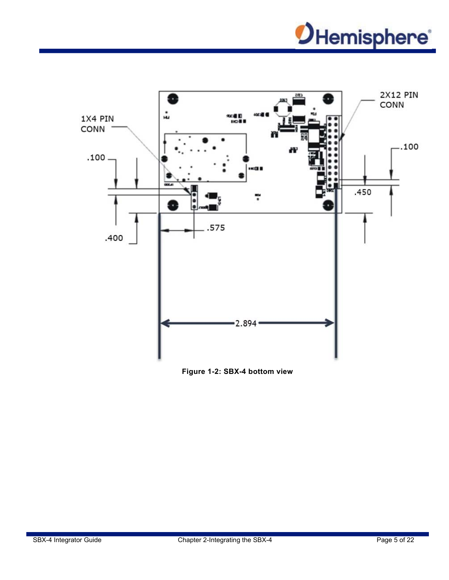



**Figure 1-2: SBX-4 bottom view**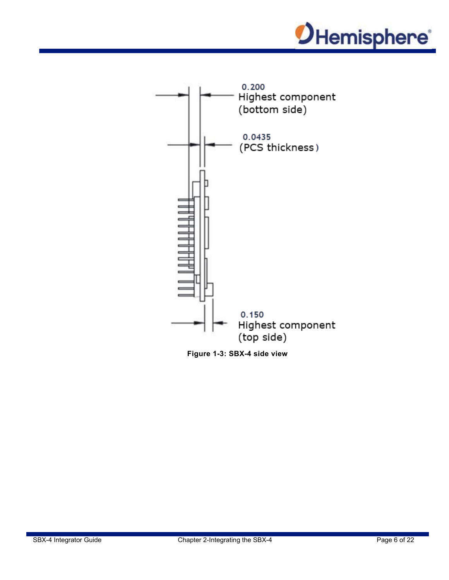



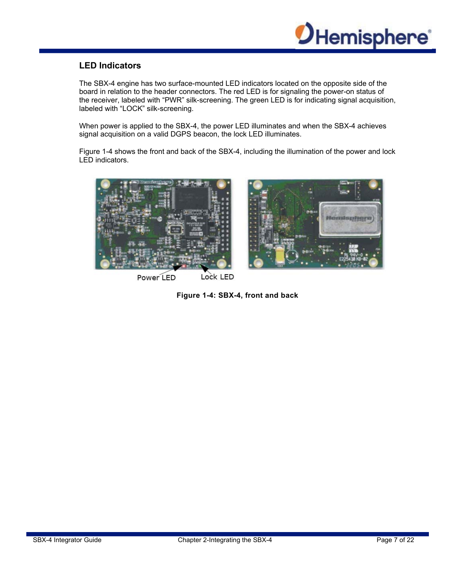

#### **LED Indicators**

The SBX-4 engine has two surface-mounted LED indicators located on the opposite side of the board in relation to the header connectors. The red LED is for signaling the power-on status of the receiver, labeled with "PWR" silk-screening. The green LED is for indicating signal acquisition, labeled with "LOCK" silk-screening.

When power is applied to the SBX-4, the power LED illuminates and when the SBX-4 achieves signal acquisition on a valid DGPS beacon, the lock LED illuminates.

Figure 1-4 shows the front and back of the SBX-4, including the illumination of the power and lock LED indicators.



**Figure 1-4: SBX-4, front and back**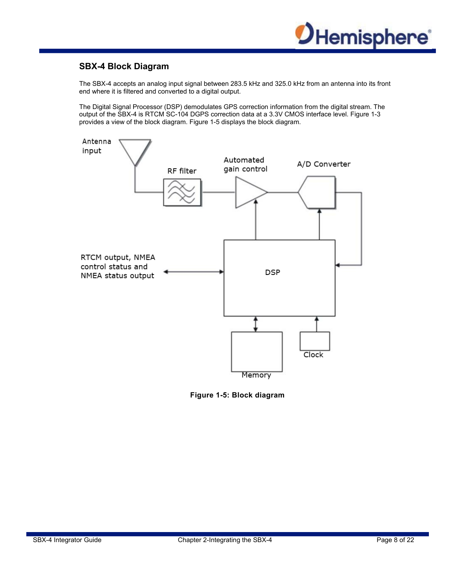

#### **SBX-4 Block Diagram**

The SBX-4 accepts an analog input signal between 283.5 kHz and 325.0 kHz from an antenna into its front end where it is filtered and converted to a digital output.

The Digital Signal Processor (DSP) demodulates GPS correction information from the digital stream. The output of the SBX-4 is RTCM SC-104 DGPS correction data at a 3.3V CMOS interface level. Figure 1-3 provides a view of the block diagram. Figure 1-5 displays the block diagram.



**Figure 1-5: Block diagram**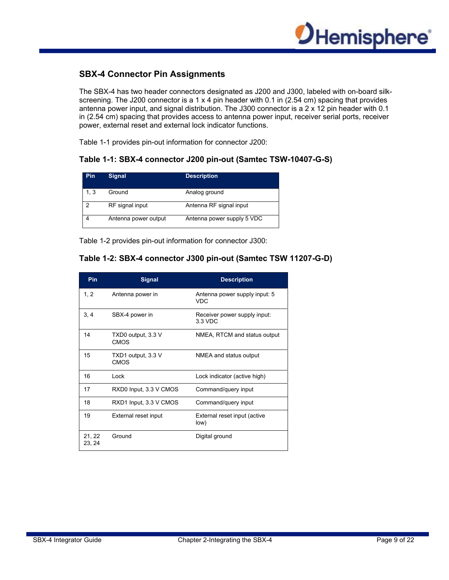

#### **SBX-4 Connector Pin Assignments**

The SBX-4 has two header connectors designated as J200 and J300, labeled with on-board silkscreening. The J200 connector is a 1  $\times$  4 pin header with 0.1 in (2.54 cm) spacing that provides antenna power input, and signal distribution. The J300 connector is a 2 x 12 pin header with 0.1 in (2.54 cm) spacing that provides access to antenna power input, receiver serial ports, receiver power, external reset and external lock indicator functions.

Table 1-1 provides pin-out information for connector J200:

#### **Table 1-1: SBX-4 connector J200 pin-out (Samtec TSW-10407-G-S)**

| <b>Pin</b> | <b>Signal</b>        | <b>Description</b>         |
|------------|----------------------|----------------------------|
| 1.3        | Ground               | Analog ground              |
| ာ          | RF signal input      | Antenna RF signal input    |
|            | Antenna power output | Antenna power supply 5 VDC |

Table 1-2 provides pin-out information for connector J300:

#### **Table 1-2: SBX-4 connector J300 pin-out (Samtec TSW 11207-G-D)**

| Pin              | <b>Signal</b>                     | <b>Description</b>                      |
|------------------|-----------------------------------|-----------------------------------------|
| 1, 2             | Antenna power in                  | Antenna power supply input: 5<br>VDC.   |
| 3.4              | SBX-4 power in                    | Receiver power supply input:<br>3.3 VDC |
| 14               | TXD0 output, 3.3 V<br><b>CMOS</b> | NMEA, RTCM and status output            |
| 15               | TXD1 output, 3.3 V<br><b>CMOS</b> | NMEA and status output                  |
| 16               | Lock                              | Lock indicator (active high)            |
| 17               | RXD0 Input, 3.3 V CMOS            | Command/query input                     |
| 18               | RXD1 Input, 3.3 V CMOS            | Command/query input                     |
| 19               | External reset input              | External reset input (active<br>low)    |
| 21, 22<br>23, 24 | Ground                            | Digital ground                          |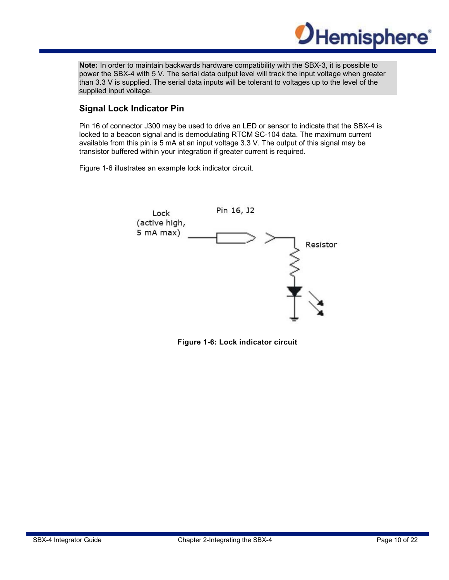

**Note:** In order to maintain backwards hardware compatibility with the SBX-3, it is possible to power the SBX-4 with 5 V. The serial data output level will track the input voltage when greater than 3.3 V is supplied. The serial data inputs will be tolerant to voltages up to the level of the supplied input voltage.

#### **Signal Lock Indicator Pin**

Pin 16 of connector J300 may be used to drive an LED or sensor to indicate that the SBX-4 is locked to a beacon signal and is demodulating RTCM SC-104 data. The maximum current available from this pin is 5 mA at an input voltage 3.3 V. The output of this signal may be transistor buffered within your integration if greater current is required.

Figure 1-6 illustrates an example lock indicator circuit.



**Figure 1-6: Lock indicator circuit**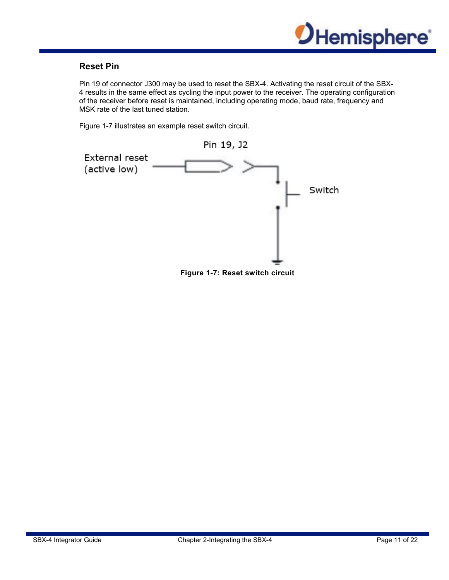

#### **Reset Pin**

Pin 19 of connector J300 may be used to reset the SBX-4. Activating the reset circuit of the SBX-4 results in the same effect as cycling the input power to the receiver. The operating configuration of the receiver before reset is maintained, including operating mode, baud rate, frequency and MSK rate of the last tuned station.

Figure 1-7 illustrates an example reset switch circuit.



**Figure 1-7: Reset switch circuit**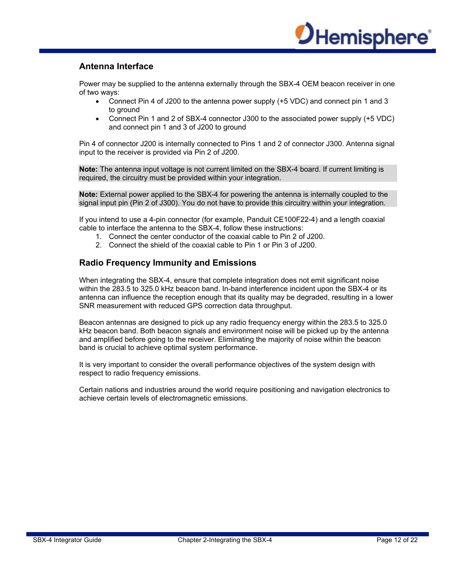

#### **Antenna Interface**

Power may be supplied to the antenna externally through the SBX-4 OEM beacon receiver in one of two ways:

- Connect Pin 4 of J200 to the antenna power supply (+5 VDC) and connect pin 1 and 3 to ground
- Connect Pin 1 and 2 of SBX-4 connector J300 to the associated power supply (+5 VDC) and connect pin 1 and 3 of J200 to ground

Pin 4 of connector J200 is internally connected to Pins 1 and 2 of connector J300. Antenna signal input to the receiver is provided via Pin 2 of J200.

**Note:** The antenna input voltage is not current limited on the SBX-4 board. If current limiting is required, the circuitry must be provided within your integration.

**Note:** External power applied to the SBX-4 for powering the antenna is internally coupled to the signal input pin (Pin 2 of J300). You do not have to provide this circuitry within your integration.

If you intend to use a 4-pin connector (for example, Panduit CE100F22-4) and a length coaxial cable to interface the antenna to the SBX-4, follow these instructions:

- 1. Connect the center conductor of the coaxial cable to Pin 2 of J200.
- 2. Connect the shield of the coaxial cable to Pin 1 or Pin 3 of J200.

#### **Radio Frequency Immunity and Emissions**

When integrating the SBX-4, ensure that complete integration does not emit significant noise within the 283.5 to 325.0 kHz beacon band. In-band interference incident upon the SBX-4 or its antenna can influence the reception enough that its quality may be degraded, resulting in a lower SNR measurement with reduced GPS correction data throughput.

Beacon antennas are designed to pick up any radio frequency energy within the 283.5 to 325.0 kHz beacon band. Both beacon signals and environment noise will be picked up by the antenna and amplified before going to the receiver. Eliminating the majority of noise within the beacon band is crucial to achieve optimal system performance.

It is very important to consider the overall performance objectives of the system design with respect to radio frequency emissions.

Certain nations and industries around the world require positioning and navigation electronics to achieve certain levels of electromagnetic emissions.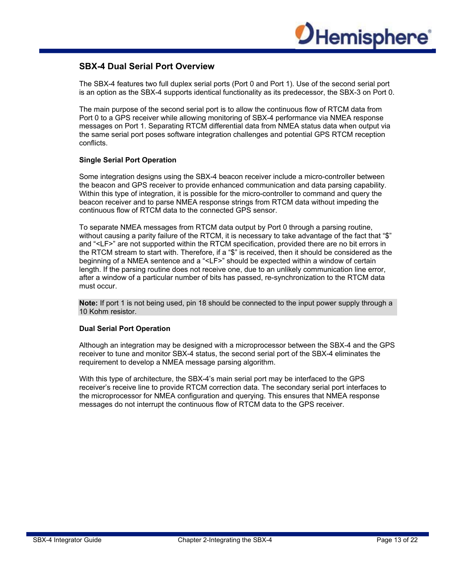

#### **SBX-4 Dual Serial Port Overview**

The SBX-4 features two full duplex serial ports (Port 0 and Port 1). Use of the second serial port is an option as the SBX-4 supports identical functionality as its predecessor, the SBX-3 on Port 0.

The main purpose of the second serial port is to allow the continuous flow of RTCM data from Port 0 to a GPS receiver while allowing monitoring of SBX-4 performance via NMEA response messages on Port 1. Separating RTCM differential data from NMEA status data when output via the same serial port poses software integration challenges and potential GPS RTCM reception conflicts.

#### **Single Serial Port Operation**

Some integration designs using the SBX-4 beacon receiver include a micro-controller between the beacon and GPS receiver to provide enhanced communication and data parsing capability. Within this type of integration, it is possible for the micro-controller to command and query the beacon receiver and to parse NMEA response strings from RTCM data without impeding the continuous flow of RTCM data to the connected GPS sensor.

To separate NMEA messages from RTCM data output by Port 0 through a parsing routine, without causing a parity failure of the RTCM, it is necessary to take advantage of the fact that "\$" and "<LF>" are not supported within the RTCM specification, provided there are no bit errors in the RTCM stream to start with. Therefore, if a "\$" is received, then it should be considered as the beginning of a NMEA sentence and a "<LF>" should be expected within a window of certain length. If the parsing routine does not receive one, due to an unlikely communication line error, after a window of a particular number of bits has passed, re-synchronization to the RTCM data must occur.

**Note:** If port 1 is not being used, pin 18 should be connected to the input power supply through a 10 Kohm resistor.

#### **Dual Serial Port Operation**

Although an integration may be designed with a microprocessor between the SBX-4 and the GPS receiver to tune and monitor SBX-4 status, the second serial port of the SBX-4 eliminates the requirement to develop a NMEA message parsing algorithm.

With this type of architecture, the SBX-4's main serial port may be interfaced to the GPS receiver's receive line to provide RTCM correction data. The secondary serial port interfaces to the microprocessor for NMEA configuration and querying. This ensures that NMEA response messages do not interrupt the continuous flow of RTCM data to the GPS receiver.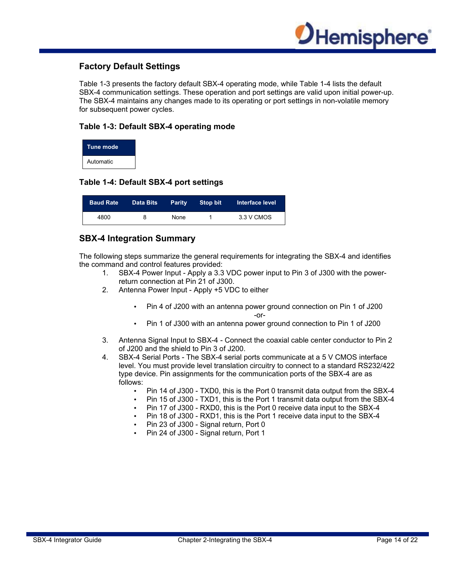

#### **Factory Default Settings**

Table 1-3 presents the factory default SBX-4 operating mode, while Table 1-4 lists the default SBX-4 communication settings. These operation and port settings are valid upon initial power-up. The SBX-4 maintains any changes made to its operating or port settings in non-volatile memory for subsequent power cycles.

#### **Table 1-3: Default SBX-4 operating mode**

| Tune mode |  |
|-----------|--|
| Automatic |  |

#### **Table 1-4: Default SBX-4 port settings**

| <b>Baud Rate</b> | <b>Data Bits</b> | <b>Parity</b> | Stop bit | Interface level |
|------------------|------------------|---------------|----------|-----------------|
| 4800             | 8                | None          |          | 3.3 V CMOS      |

#### **SBX-4 Integration Summary**

The following steps summarize the general requirements for integrating the SBX-4 and identifies the command and control features provided:

- 1. SBX-4 Power Input Apply a 3.3 VDC power input to Pin 3 of J300 with the powerreturn connection at Pin 21 of J300.
- 2. Antenna Power Input Apply +5 VDC to either
	- Pin 4 of J200 with an antenna power ground connection on Pin 1 of J200 -or-
	- Pin 1 of J300 with an antenna power ground connection to Pin 1 of J200
- 3. Antenna Signal Input to SBX-4 Connect the coaxial cable center conductor to Pin 2 of J200 and the shield to Pin 3 of J200.
- 4. SBX-4 Serial Ports The SBX-4 serial ports communicate at a 5 V CMOS interface level. You must provide level translation circuitry to connect to a standard RS232/422 type device. Pin assignments for the communication ports of the SBX-4 are as follows:
	- Pin 14 of J300 TXD0, this is the Port 0 transmit data output from the SBX-4
	- Pin 15 of J300 TXD1, this is the Port 1 transmit data output from the SBX-4
	- Pin 17 of J300 RXD0, this is the Port 0 receive data input to the SBX-4
	- Pin 18 of J300 RXD1, this is the Port 1 receive data input to the SBX-4
	- Pin 23 of J300 Signal return, Port 0
	- Pin 24 of J300 Signal return, Port 1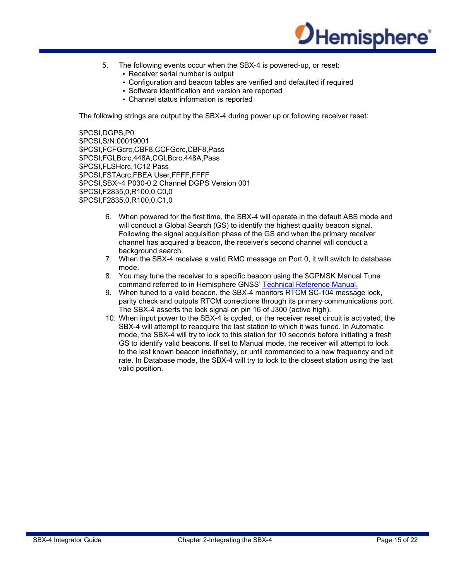

- 5. The following events occur when the SBX-4 is powered-up, or reset:
	- Receiver serial number is output
	- Configuration and beacon tables are verified and defaulted if required
	- Software identification and version are reported
	- Channel status information is reported

The following strings are output by the SBX-4 during power up or following receiver reset:

\$PCSI,DGPS,P0 \$PCSI,S/N:00019001 \$PCSI,FCFGcrc,CBF8,CCFGcrc,CBF8,Pass \$PCSI,FGLBcrc,448A,CGLBcrc,448A,Pass \$PCSI, FLSHcrc, 1C12 Pass \$PCSI,FSTAcrc,FBEA User,FFFF,FFFF \$PCSI,SBX~4 P030-0 2 Channel DGPS Version 001 \$PCSI,F2835,0,R100,0,C0,0 \$PCSI,F2835,0,R100,0,C1,0

- 6. When powered for the first time, the SBX-4 will operate in the default ABS mode and will conduct a Global Search (GS) to identify the highest quality beacon signal. Following the signal acquisition phase of the GS and when the primary receiver channel has acquired a beacon, the receiver's second channel will conduct a background search.
- 7. When the SBX-4 receives a valid RMC message on Port 0, it will switch to database mode.
- 8. You may tune the receiver to a specific beacon using the \$GPMSK Manual Tune command referred to in Hemisphere GNSS' Technical Reference Manual.
- 9. When tuned to a valid beacon, the SBX-4 monitors RTCM SC-104 message lock, parity check and outputs RTCM corrections through its primary communications port. The SBX-4 asserts the lock signal on pin 16 of J300 (active high).
- 10. When input power to the SBX-4 is cycled, or the receiver reset circuit is activated, the SBX-4 will attempt to reacquire the last station to which it was tuned. In Automatic mode, the SBX-4 will try to lock to this station for 10 seconds before initiating a fresh GS to identify valid beacons. If set to Manual mode, the receiver will attempt to lock to the last known beacon indefinitely, or until commanded to a new frequency and bit rate. In Database mode, the SBX-4 will try to lock to the closest station using the last valid position.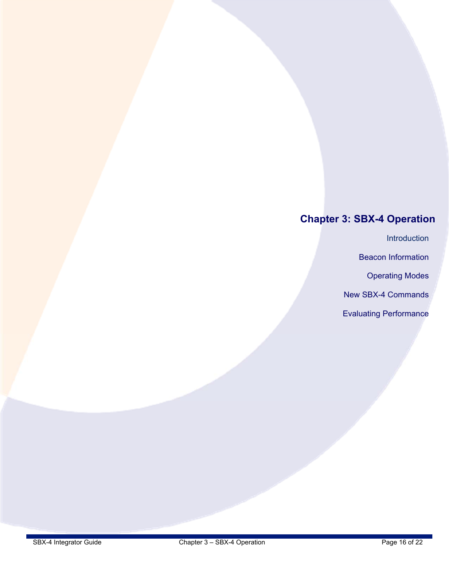# **Chapter 3: SBX-4 Operation**

Introduction

Beacon Information

Operating Modes

New SBX-4 Commands

Evaluating Performance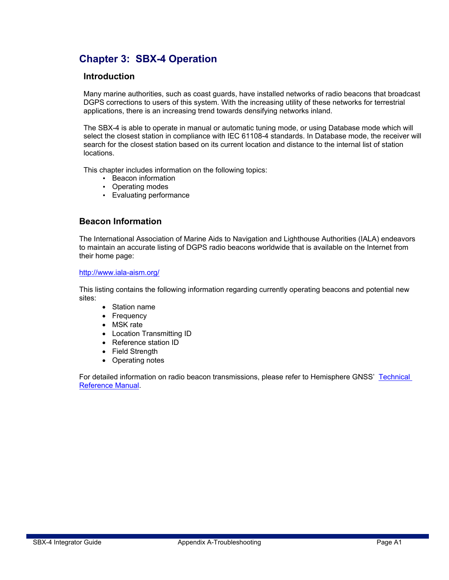# **Chapter 3: SBX-4 Operation**

#### **Introduction**

Many marine authorities, such as coast guards, have installed networks of radio beacons that broadcast DGPS corrections to users of this system. With the increasing utility of these networks for terrestrial applications, there is an increasing trend towards densifying networks inland.

The SBX-4 is able to operate in manual or automatic tuning mode, or using Database mode which will select the closest station in compliance with IEC 61108-4 standards. In Database mode, the receiver will search for the closest station based on its current location and distance to the internal list of station locations.

This chapter includes information on the following topics:

- Beacon information
- Operating modes
- Evaluating performance

#### **Beacon Information**

The International Association of Marine Aids to Navigation and Lighthouse Authorities (IALA) endeavors to maintain an accurate listing of DGPS radio beacons worldwide that is available on the Internet from their home page:

#### http://www.iala-aism.org/

This listing contains the following information regarding currently operating beacons and potential new sites:

- Station name
- Frequency
- MSK rate
- Location Transmitting ID
- Reference station ID
- Field Strength
- Operating notes

For detailed information on radio beacon transmissions, please refer to Hemisphere GNSS' Technical Reference Manual.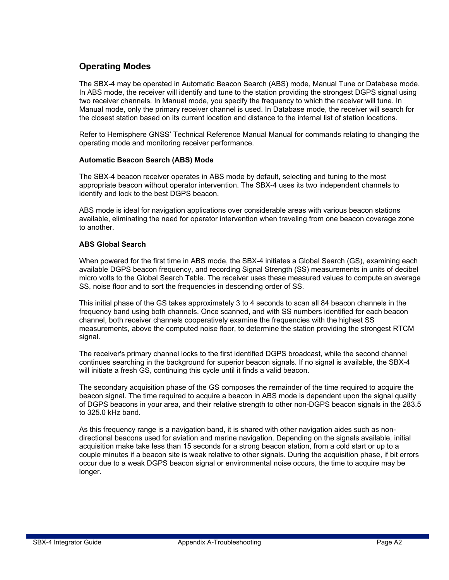#### **Operating Modes**

The SBX-4 may be operated in Automatic Beacon Search (ABS) mode, Manual Tune or Database mode. In ABS mode, the receiver will identify and tune to the station providing the strongest DGPS signal using two receiver channels. In Manual mode, you specify the frequency to which the receiver will tune. In Manual mode, only the primary receiver channel is used. In Database mode, the receiver will search for the closest station based on its current location and distance to the internal list of station locations.

Refer to Hemisphere GNSS' Technical Reference Manual Manual for commands relating to changing the operating mode and monitoring receiver performance.

#### **Automatic Beacon Search (ABS) Mode**

The SBX-4 beacon receiver operates in ABS mode by default, selecting and tuning to the most appropriate beacon without operator intervention. The SBX-4 uses its two independent channels to identify and lock to the best DGPS beacon.

ABS mode is ideal for navigation applications over considerable areas with various beacon stations available, eliminating the need for operator intervention when traveling from one beacon coverage zone to another.

#### **ABS Global Search**

When powered for the first time in ABS mode, the SBX-4 initiates a Global Search (GS), examining each available DGPS beacon frequency, and recording Signal Strength (SS) measurements in units of decibel micro volts to the Global Search Table. The receiver uses these measured values to compute an average SS, noise floor and to sort the frequencies in descending order of SS.

This initial phase of the GS takes approximately 3 to 4 seconds to scan all 84 beacon channels in the frequency band using both channels. Once scanned, and with SS numbers identified for each beacon channel, both receiver channels cooperatively examine the frequencies with the highest SS measurements, above the computed noise floor, to determine the station providing the strongest RTCM signal.

The receiver's primary channel locks to the first identified DGPS broadcast, while the second channel continues searching in the background for superior beacon signals. If no signal is available, the SBX-4 will initiate a fresh GS, continuing this cycle until it finds a valid beacon.

The secondary acquisition phase of the GS composes the remainder of the time required to acquire the beacon signal. The time required to acquire a beacon in ABS mode is dependent upon the signal quality of DGPS beacons in your area, and their relative strength to other non-DGPS beacon signals in the 283.5 to 325.0 kHz band.

As this frequency range is a navigation band, it is shared with other navigation aides such as nondirectional beacons used for aviation and marine navigation. Depending on the signals available, initial acquisition make take less than 15 seconds for a strong beacon station, from a cold start or up to a couple minutes if a beacon site is weak relative to other signals. During the acquisition phase, if bit errors occur due to a weak DGPS beacon signal or environmental noise occurs, the time to acquire may be longer.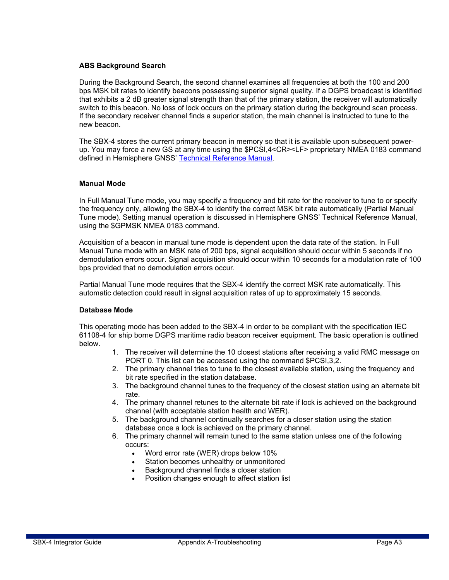#### **ABS Background Search**

During the Background Search, the second channel examines all frequencies at both the 100 and 200 bps MSK bit rates to identify beacons possessing superior signal quality. If a DGPS broadcast is identified that exhibits a 2 dB greater signal strength than that of the primary station, the receiver will automatically switch to this beacon. No loss of lock occurs on the primary station during the background scan process. If the secondary receiver channel finds a superior station, the main channel is instructed to tune to the new beacon.

The SBX-4 stores the current primary beacon in memory so that it is available upon subsequent powerup. You may force a new GS at any time using the \$PCSI,4<CR><LF> proprietary NMEA 0183 command defined in Hemisphere GNSS' Technical Reference Manual.

#### **Manual Mode**

In Full Manual Tune mode, you may specify a frequency and bit rate for the receiver to tune to or specify the frequency only, allowing the SBX-4 to identify the correct MSK bit rate automatically (Partial Manual Tune mode). Setting manual operation is discussed in Hemisphere GNSS' Technical Reference Manual, using the \$GPMSK NMEA 0183 command.

Acquisition of a beacon in manual tune mode is dependent upon the data rate of the station. In Full Manual Tune mode with an MSK rate of 200 bps, signal acquisition should occur within 5 seconds if no demodulation errors occur. Signal acquisition should occur within 10 seconds for a modulation rate of 100 bps provided that no demodulation errors occur.

Partial Manual Tune mode requires that the SBX-4 identify the correct MSK rate automatically. This automatic detection could result in signal acquisition rates of up to approximately 15 seconds.

#### **Database Mode**

This operating mode has been added to the SBX-4 in order to be compliant with the specification IEC 61108-4 for ship borne DGPS maritime radio beacon receiver equipment. The basic operation is outlined below.

- 1. The receiver will determine the 10 closest stations after receiving a valid RMC message on PORT 0. This list can be accessed using the command \$PCSI,3,2.
- 2. The primary channel tries to tune to the closest available station, using the frequency and bit rate specified in the station database.
- 3. The background channel tunes to the frequency of the closest station using an alternate bit rate.
- 4. The primary channel retunes to the alternate bit rate if lock is achieved on the background channel (with acceptable station health and WER).
- 5. The background channel continually searches for a closer station using the station database once a lock is achieved on the primary channel.
- 6. The primary channel will remain tuned to the same station unless one of the following occurs:
	- Word error rate (WER) drops below 10%
	- Station becomes unhealthy or unmonitored
	- Background channel finds a closer station
	- Position changes enough to affect station list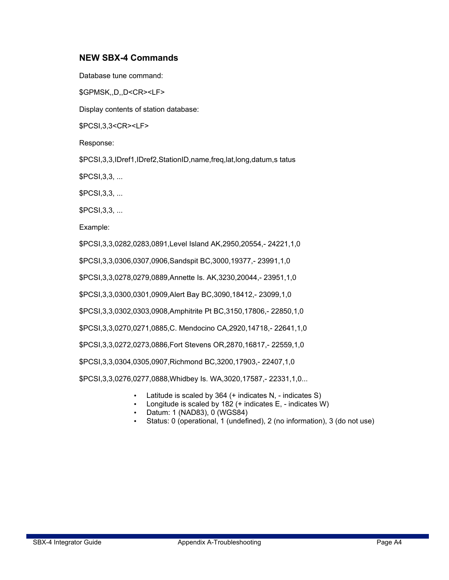#### **NEW SBX-4 Commands**

Database tune command: \$GPMSK,,D,,D<CR><LF> Display contents of station database: \$PCSI,3,3<CR><LF> Response: \$PCSI,3,3,IDref1,IDref2,StationID,name,freq,lat,long,datum,s tatus \$PCSI,3,3, ... \$PCSI,3,3, ... \$PCSI,3,3, ... Example: \$PCSI,3,3,0282,0283,0891,Level Island AK,2950,20554,- 24221,1,0 \$PCSI,3,3,0306,0307,0906,Sandspit BC,3000,19377,- 23991,1,0 \$PCSI,3,3,0278,0279,0889,Annette Is. AK,3230,20044,- 23951,1,0 \$PCSI,3,3,0300,0301,0909,Alert Bay BC,3090,18412,- 23099,1,0 \$PCSI,3,3,0302,0303,0908,Amphitrite Pt BC,3150,17806,- 22850,1,0 \$PCSI,3,3,0270,0271,0885,C. Mendocino CA,2920,14718,- 22641,1,0 \$PCSI,3,3,0272,0273,0886,Fort Stevens OR,2870,16817,- 22559,1,0 \$PCSI,3,3,0304,0305,0907,Richmond BC,3200,17903,- 22407,1,0 \$PCSI,3,3,0276,0277,0888,Whidbey Is. WA,3020,17587,- 22331,1,0...

- Latitude is scaled by  $364$  (+ indicates N, indicates S)
- Longitude is scaled by 182 (+ indicates E, indicates W)
- Datum: 1 (NAD83), 0 (WGS84)
- Status: 0 (operational, 1 (undefined), 2 (no information), 3 (do not use)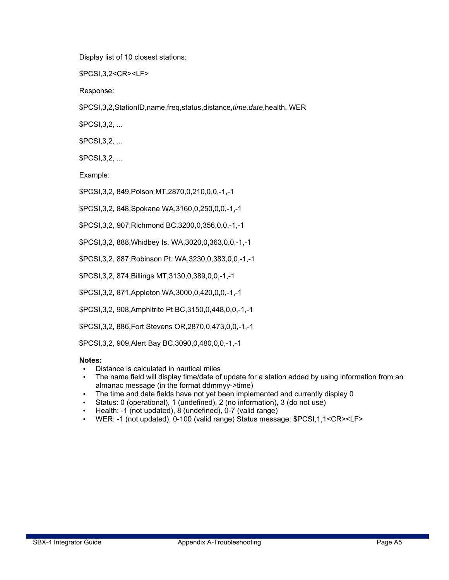Display list of 10 closest stations:

\$PCSI,3,2<CR><LF>

Response:

\$PCSI,3,2,StationID,name,freq,status,distance,*time,date*,health, WER

\$PCSI,3,2, ...

\$PCSI,3,2, ...

\$PCSI,3,2, ...

Example:

\$PCSI,3,2, 849,Polson MT,2870,0,210,0,0,-1,-1

\$PCSI,3,2, 848,Spokane WA,3160,0,250,0,0,-1,-1

\$PCSI,3,2, 907,Richmond BC,3200,0,356,0,0,-1,-1

\$PCSI,3,2, 888,Whidbey Is. WA,3020,0,363,0,0,-1,-1

\$PCSI,3,2, 887,Robinson Pt. WA,3230,0,383,0,0,-1,-1

\$PCSI,3,2, 874,Billings MT,3130,0,389,0,0,-1,-1

\$PCSI,3,2, 871,Appleton WA,3000,0,420,0,0,-1,-1

\$PCSI,3,2, 908,Amphitrite Pt BC,3150,0,448,0,0,-1,-1

\$PCSI,3,2, 886,Fort Stevens OR,2870,0,473,0,0,-1,-1

\$PCSI,3,2, 909,Alert Bay BC,3090,0,480,0,0,-1,-1

#### **Notes:**

- Distance is calculated in nautical miles
- The name field will display time/date of update for a station added by using information from an almanac message (in the format ddmmyy->time)
- The time and date fields have not yet been implemented and currently display 0
- Status: 0 (operational), 1 (undefined), 2 (no information), 3 (do not use)
- Health: -1 (not updated), 8 (undefined), 0-7 (valid range)
- WER: -1 (not updated), 0-100 (valid range) Status message: \$PCSI,1,1<CR><LF>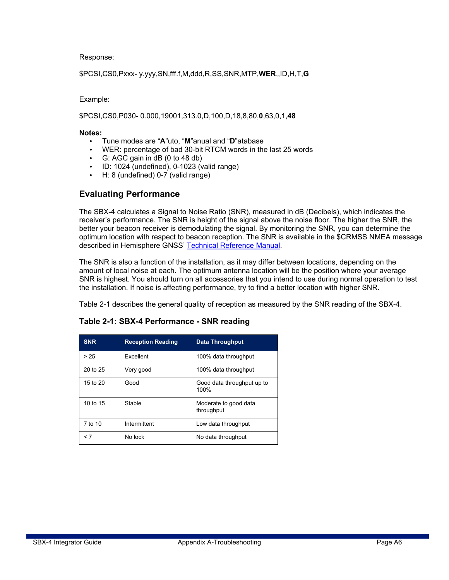Response:

\$PCSI,CS0,Pxxx- y.yyy,SN,fff.f,M,ddd,R,SS,SNR,MTP,**WER**,,ID,H,T,**G** 

Example:

\$PCSI,CS0,P030- 0.000,19001,313.0,D,100,D,18,8,80,**0**,63,0,1,**48** 

#### **Notes:**

- Tune modes are "**A**"uto, "**M**"anual and "**D**"atabase
- WER: percentage of bad 30-bit RTCM words in the last 25 words
- G: AGC gain in dB (0 to 48 db)
- ID: 1024 (undefined), 0-1023 (valid range)
- H: 8 (undefined) 0-7 (valid range)

#### **Evaluating Performance**

The SBX-4 calculates a Signal to Noise Ratio (SNR), measured in dB (Decibels), which indicates the receiver's performance. The SNR is height of the signal above the noise floor. The higher the SNR, the better your beacon receiver is demodulating the signal. By monitoring the SNR, you can determine the optimum location with respect to beacon reception. The SNR is available in the \$CRMSS NMEA message described in Hemisphere GNSS' Technical Reference Manual.

The SNR is also a function of the installation, as it may differ between locations, depending on the amount of local noise at each. The optimum antenna location will be the position where your average SNR is highest. You should turn on all accessories that you intend to use during normal operation to test the installation. If noise is affecting performance, try to find a better location with higher SNR.

Table 2-1 describes the general quality of reception as measured by the SNR reading of the SBX-4.

| <b>SNR</b> | <b>Reception Reading</b> | <b>Data Throughput</b>              |
|------------|--------------------------|-------------------------------------|
| > 25       | <b>Fxcellent</b>         | 100% data throughput                |
| 20 to 25   | Very good                | 100% data throughput                |
| 15 to 20   | Good                     | Good data throughput up to<br>100%  |
| 10 to 15   | Stable                   | Moderate to good data<br>throughput |
| 7 to 10    | Intermittent             | Low data throughput                 |
| < 7        | No lock                  | No data throughput                  |

#### **Table 2-1: SBX-4 Performance - SNR reading**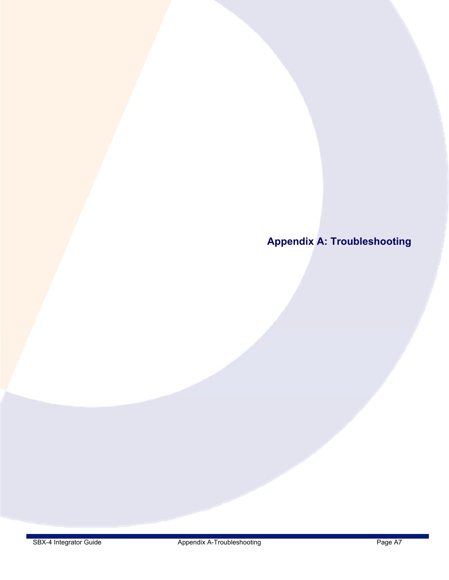**Appendix A: Troubleshooting**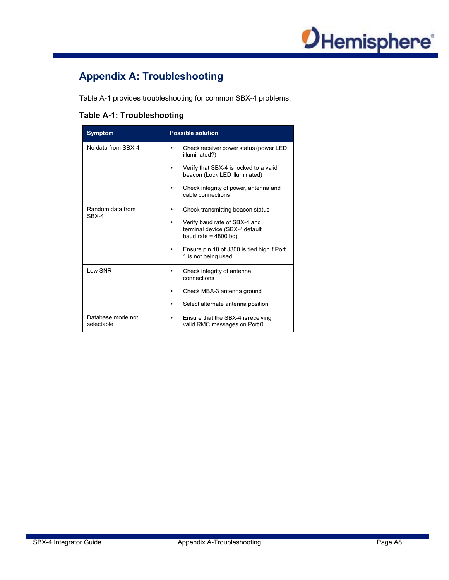

# **Appendix A: Troubleshooting**

Table A-1 provides troubleshooting for common SBX-4 problems.

#### **Table A-1: Troubleshooting**

| <b>Symptom</b>                  | <b>Possible solution</b>                                                                  |
|---------------------------------|-------------------------------------------------------------------------------------------|
| No data from SBX-4              | Check receiver power status (power LED<br>illuminated?)                                   |
|                                 | Verify that SBX-4 is locked to a valid<br>beacon (Lock LED illuminated)                   |
|                                 | Check integrity of power, antenna and<br>cable connections                                |
| Random data from<br>$SRX-4$     | Check transmitting beacon status                                                          |
|                                 | Verify baud rate of SBX-4 and<br>terminal device (SBX-4 default<br>baud rate = $4800$ bd) |
|                                 | Ensure pin 18 of J300 is tied high if Port<br>1 is not being used                         |
| Low SNR                         | Check integrity of antenna<br>connections                                                 |
|                                 | Check MBA-3 antenna ground                                                                |
|                                 | Select alternate antenna position                                                         |
| Database mode not<br>selectable | Ensure that the SBX-4 is receiving<br>valid RMC messages on Port 0                        |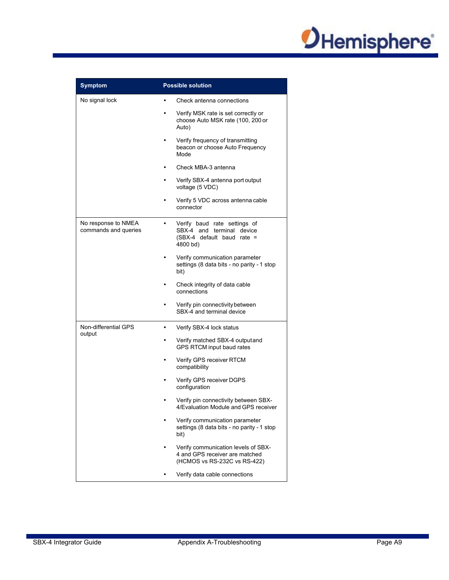

| <b>Symptom</b>                              | <b>Possible solution</b>                                                                              |  |
|---------------------------------------------|-------------------------------------------------------------------------------------------------------|--|
| No signal lock                              | Check antenna connections                                                                             |  |
|                                             | Verify MSK rate is set correctly or<br>choose Auto MSK rate (100, 200 or<br>Auto)                     |  |
|                                             | Verify frequency of transmitting<br>beacon or choose Auto Frequency<br>Mode                           |  |
|                                             | Check MBA-3 antenna                                                                                   |  |
|                                             | Verify SBX-4 antenna port output<br>voltage (5 VDC)                                                   |  |
|                                             | Verify 5 VDC across antenna cable<br>connector                                                        |  |
| No response to NMEA<br>commands and queries | Verify baud rate settings of<br>SBX-4 and terminal device<br>(SBX-4 default baud rate =<br>4800 bd)   |  |
|                                             | Verify communication parameter<br>settings (8 data bits - no parity - 1 stop<br>bit)                  |  |
|                                             | Check integrity of data cable<br>connections                                                          |  |
|                                             | Verify pin connectivity between<br>SBX-4 and terminal device                                          |  |
| Non-differential GPS                        | Verify SBX-4 lock status<br>٠                                                                         |  |
| output                                      | Verify matched SBX-4 output and<br>٠<br>GPS RTCM input baud rates                                     |  |
|                                             | Verify GPS receiver RTCM<br>$\bullet$<br>compatibility                                                |  |
|                                             | Verify GPS receiver DGPS<br>configuration                                                             |  |
|                                             | Verify pin connectivity between SBX-<br>4/Evaluation Module and GPS receiver                          |  |
|                                             | Verify communication parameter<br>settings (8 data bits - no parity - 1 stop<br>bit)                  |  |
|                                             | Verify communication levels of SBX-<br>4 and GPS receiver are matched<br>(HCMOS vs RS-232C vs RS-422) |  |
|                                             | Verify data cable connections                                                                         |  |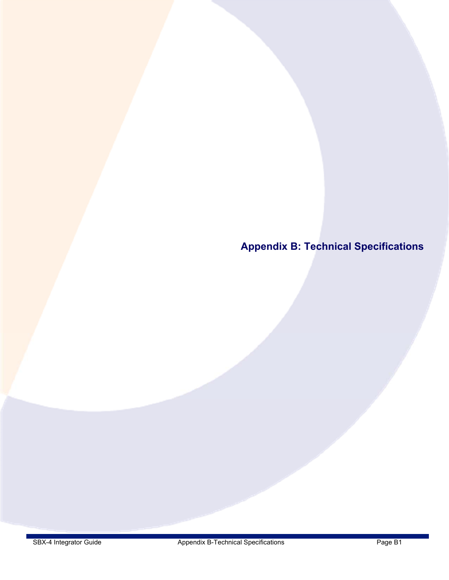**Appendix B: Technical Specifications**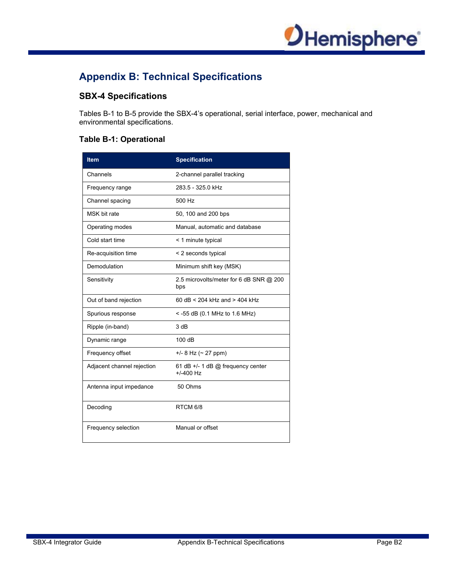

# **Appendix B: Technical Specifications**

#### **SBX-4 Specifications**

Tables B-1 to B-5 provide the SBX-4's operational, serial interface, power, mechanical and environmental specifications.

#### **Table B-1: Operational**

| <b>Item</b>                | <b>Specification</b>                               |
|----------------------------|----------------------------------------------------|
| Channels                   | 2-channel parallel tracking                        |
| Frequency range            | 283.5 - 325.0 kHz                                  |
| Channel spacing            | 500 Hz                                             |
| MSK bit rate               | 50, 100 and 200 bps                                |
| Operating modes            | Manual, automatic and database                     |
| Cold start time            | < 1 minute typical                                 |
| Re-acquisition time        | < 2 seconds typical                                |
| Demodulation               | Minimum shift key (MSK)                            |
| Sensitivity                | 2.5 microvolts/meter for 6 dB SNR @ 200<br>bps     |
| Out of band rejection      | 60 dB < 204 kHz and > 404 kHz                      |
| Spurious response          | $<$ -55 dB (0.1 MHz to 1.6 MHz)                    |
| Ripple (in-band)           | 3 dB                                               |
| Dynamic range              | 100dB                                              |
| Frequency offset           | $+/- 8$ Hz ( $\sim$ 27 ppm)                        |
| Adjacent channel rejection | 61 dB +/- 1 dB $@$ frequency center<br>$+/-400$ Hz |
| Antenna input impedance    | 50 Ohms                                            |
| Decoding                   | RTCM 6/8                                           |
| Frequency selection        | Manual or offset                                   |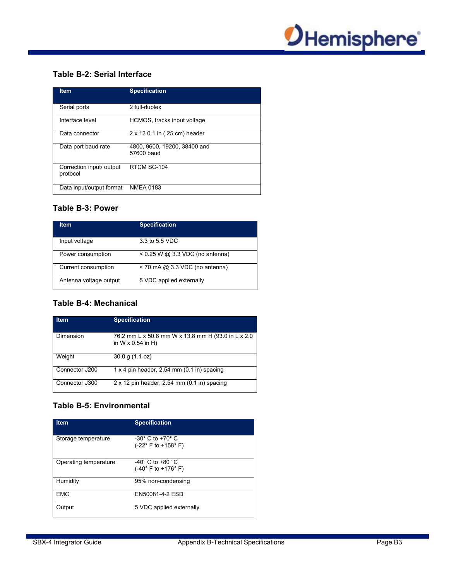

#### **Table B-2: Serial Interface**

| <b>Item</b>                          | <b>Specification</b>                       |
|--------------------------------------|--------------------------------------------|
| Serial ports                         | 2 full-duplex                              |
| Interface level                      | HCMOS, tracks input voltage                |
| Data connector                       | 2 x 12 0.1 in (.25 cm) header              |
| Data port baud rate                  | 4800, 9600, 19200, 38400 and<br>57600 baud |
| Correction input/ output<br>protocol | RTCM SC-104                                |
| Data input/output format             | <b>NMEA 0183</b>                           |

#### **Table B-3: Power**

| <b>Item</b>            | <b>Specification</b>              |
|------------------------|-----------------------------------|
| Input voltage          | 3.3 to 5.5 VDC                    |
| Power consumption      | $< 0.25$ W @ 3.3 VDC (no antenna) |
| Current consumption    | $<$ 70 mA @ 3.3 VDC (no antenna)  |
| Antenna voltage output | 5 VDC applied externally          |

#### **Table B-4: Mechanical**

| <b>Item</b>    | <b>Specification</b>                                                           |
|----------------|--------------------------------------------------------------------------------|
| Dimension      | 76.2 mm L x 50.8 mm W x 13.8 mm H (93.0 in L x 2.0<br>in $W \times 0.54$ in H) |
| Weight         | $30.0$ g $(1.1$ oz)                                                            |
| Connector J200 | $1 \times 4$ pin header, 2.54 mm (0.1 in) spacing                              |
| Connector J300 | $2 \times 12$ pin header, 2.54 mm (0.1 in) spacing                             |

#### **Table B-5: Environmental**

| <b>Item</b>           | <b>Specification</b>                                                    |
|-----------------------|-------------------------------------------------------------------------|
| Storage temperature   | $-30^\circ$ C to $+70^\circ$ C<br>$(-22^{\circ}$ F to $+158^{\circ}$ F) |
| Operating temperature | $-40^\circ$ C to $+80^\circ$ C<br>$(-40^{\circ}$ F to $+176^{\circ}$ F) |
| Humidity              | 95% non-condensing                                                      |
| <b>EMC</b>            | EN50081-4-2 ESD                                                         |
| Output                | 5 VDC applied externally                                                |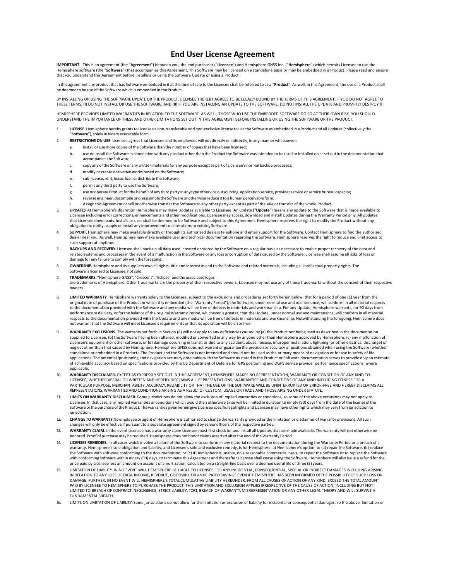#### **End User License Agreement**

**IMPORTANT** - This is an agreement (the "**Agreement**") between you, the end purchaser ("**Licensee**") and Hemisphere GNSS Inc. ("**Hemisphere**") which permits Licensee to use the<br>Hemisphere software (the "**Software**") that a that you understand this Agreement before installing or using the Software Update or using a Product.

In this agreement any product that has Software embedded in it at the time of sale to the Licensee shall be referred to as a "**Product**". As well, in this Agreement, the use of a Product shall be deemed to be use of the Software which is embedded in the Product.

BY INSTALLING OR USING THE SOFTWARE UPDATE OR THE PRODUCT, LICENSEE THEREBY AGREES TO BE LEGALLY BOUND BY THE TERMS OF THIS AGREEMENT. IF YOU DO NOT AGREE TO THESE TERMS, (I) DO NOT INSTALL OR USE THE SOFTWARE, AND (II) IF YOU ARE INSTALLING AN UPDATE TO THE SOFTWARE, DO NOT INSTALL THE UPDATE AND PROMPTLY DESTROY IT.

HEMISPHERE PROVIDES LIMITED WARRANTIES IN RELATION TO THE SOFTWARE. AS WELL, THOSE WHO USE THE EMBEDDED SOFTWARE DO SO AT THEIR OWN RISK. YOU SHOULD UNDERSTAND THE IMPORTANCE OF THESE AND OTHER LIMITATIONS SET OUT IN THIS AGREEMENT BEFORE INSTALLING OR USING THE SOFTWARE OR THE PRODUCT.

- 1. **LICENSE**. Hemisphere hereby grants to Licensee a non-transferable and non-exclusive license to use the Software as embedded in a Product and all Updates (collectively the "**Software**"), solely in binary executable form.
- 2. **RESTRICTIONS ON USE**. Licensee agrees that Licensee and its employees will not directly or indirectly, in any manner whatsoever:
	- install or use more copies of the Software than the number of copies that have been licensed;
	- b. use or install the Software in connection with any product other than the Product the Software was intended to be used or installed on as set out in the documentation that accompanies the Software.
	- c. copy any of the Software or any written materials for any purpose except as part of Licensee's normal backup processes;
	- modify or create derivative works based on the Software:
	- e. sub‐license, rent, lease, loan or distribute the Software;
	- permit any third party to use the Software;
	- g. use or operate Product for the benefit of any third party in any type of service outsourcing, application service, provider service or service bureau capacity;
	- reverse engineer, decompile or disassemble the Software or otherwise reduce it to a human perceivable form;
	- Assign this Agreement or sell or otherwise transfer the Software to any other party except as part of the sale or transfer of the whole Product.
- 3. **UPDATES**. At Hemisphere's discretion Hemisphere may make Updates available to Licensee. An update ("**Update**") means any update to the Software that is made available to Licensee including error corrections, enhancements and other modifications. Licensee may access, download and install Updates during the Warranty Period only. All Updates that Licensee downloads, installs or uses shall be deemed to be Software and subject to this Agreement. Hemisphere reserves the right to modify the Product without any obligation to notify, supply or install any improvements or alterations to existing Software.
- 4. SUPPORT. Hemisphere may make available directly or through its authorized dealers telephone and email support for the Software. Contact Hemisphere to find the authorized dealer near you. As well, Hemisphere may make available user and technical documentation regarding the Software. Hemisphere reserves the right to reduce and limit access to such support at anytime.
- 5. **BACKUPS AND RECOVERY.** Licensee shall back-up all data used, created or stored by the Software on a regular basis as necessary to enable proper recovery of the data and related systems and processes in the event of a malfunction in the Software or any loss or corruption of data caused by the Software. Licensee shall assume all risks of loss or damage for any failure to comply with the foregoing.
- 6. **OWNERSHIP.** Hemisphere and its suppliers own all rights, title and interest in and to the Software and related materials, including all intellectual property rights. The Software is licensed to Licensee, not sold.
- 7. TRADEMARKS. "Hemisphere GNSS", "Crescent", "Eclipse" and the associated logos<br>are trademarks of Hemisphere. Other trademarks are the property of their respective owners. Licensee may not use any of these trademarks with owners.
- 8. **LIMITED WARRANTY**. Hemisphere warrants solely to the Licensee, subject to the exclusions and procedures set forth herein below, that for a period of one (1) year from the original date of purchase of the Product in which it is embedded (the "Warranty Period"), the Software, under normal use and maintenance, will conform in all material respects<br>to the documentation provided with the Softwar performance or delivery, or for the balance of the original Warranty Period, whichever is greater, that the Update, under normal use and maintenance, will conform in all material respects to the documentation provided with the Update and any media will be free of defects in materials and workmanship. Notwithstanding the foregoing, Hemisphere does not warrant that the Software will meet Licensee's requirements or that its operation will be error free.
- 9. **WARRANTY EXCLUSIONS**. The warranty set forth in Section (8) will not apply to any deficiencies caused by (a) the Product not being used as described in the documentation supplied to Licensee, (b) the Software having been altered, modified or converted in any way by anyone other than Hemisphere approved by Hemisphere, (c) any malfunction of<br>Licensee's equipment or other software, or (d) dam neglect other than that caused by Hemisphere. Hemisphere GNSS does not warrant or guarantee the precision or accuracy of positions obtained when using the Software (whether standalone or embedded in a Product). The Product and the Software is not intended and should not be used as the primary means of navigation or for use in safety of life applications. The potential lpositioning and navigation accuracy obtainable with the Software as stated in the Product or Software documentation serves to provide only an estimate of achievable accuracy based on specifications provided by the US Department of Defense for GPS positioning and DGPS service provider performance specifications, where applicable.
- 10. **WARRANTY DISCLAIMER.** EXCEPT AS EXPRESSLY SET OUT IN THIS AGREEMENT, HEMISPHERE MAKES NO REPRESENTATION, WARRANTY OR CONDITION OF ANY KIND TO LICENSEE, WHETHER VERBAL OR WRITTEN AND HEREBY DISCLAIMS ALL REPRESENTATIONS, WARRANTIES AND CONDITIONS OF ANY KIND INCLUDING FITNESS FOR A PARTICULAR PURPOSE, MERCHANTABILITY, ACCURACY, RELIABILITY OR THAT THE USE OF THE SOFTWARE WILL BE UNINTERRUPTED OR ERROR‐FREE AND HEREBY DISCLAIMS ALL REPRESENTATIONS, WARRANTIES AND CONDITIONS ARISING AS A RESULT OF CUSTOM, USAGE OR TRADE AND THOSE ARISING UNDER STATUTE.
- 11. **LIMITS ON WARRANTY DISCLAIMER.** Some jurisdictions do not allow the exclusion of implied warranties or conditions, so some of the above exclusions may not apply to Licensee. In that case, any implied warranties or conditions which would then otherwise arise will be limited in duration to ninety (90) days from the date of the license of the license of the license of the license of the Software or the purchase of the Product. The warranties given herein give Licensee specific legal rights and Licensee may have other rights which may vary from jurisdiction to jurisdiction.
- 12. **CHANGE TO WARRANTY.**No employee or agent of Hemisphere is authorized to change the warranty provided or the limitation or disclaimer of warranty provisions. All such changes will only be effective if pursuant to a separate agreement signed by senior officers of the respective parties.
- 13. **WARRANTY CLAIM.** In the event Licensee has a warranty claim Licensee must first check for and install all Updates that are made available. The warranty will not otherwise be honored. Proof of purchase may be required. Hemisphere does not honor claims asserted after the end of the Warranty Period.
- 14. **LICENSEE REMEDIES.** In all cases which involve a failure of the Software to conform in any material respect to the documentation during the Warranty Period or a breach of a warranty, Hemisphere's sole obligation and liability, and Licensee's sole and exclusive remedy, is for Hemisphere, at Hemisphere's option, to (a) repair the Software, (b) replace the Software with software conforming to the documentation, or (c) if Hemisphere is unable, on a reasonable commercial basis, to repair the Software or to replace the Software with conforming software within ninety (90) days, to terminate this Agreement and thereafter Licensee shall cease using the Software. Hemisphere will also issue a refund for the price paid by Licensee less an amount on account of amortization, calculated on a straight-line basis over a deemed useful life of three (3) years.
- 15. LIMITATION OF LIABILITY. IN NO EVENT WILL HEMISPHERE BE LIABLE TO LICENSEE FOR ANY INCIDENTAL, CONSEQUENTIAL, SPECIAL OR INDIRECT DAMAGES INCLUDING ARISING IN RELATION TO ANY LOSS OF DATA,INCOME, REVENUE, GOODWILL OR ANTICIPATED SAVINGS EVEN IF HEMISPHERE HAS BEEN INFORMED OFTHE POSSIBILITY OF SUCH LOSS OR<br>DAMAGE. FURTHER, IN NO EVENT WILL HEMISPHERE'S TOTAL CUMULATIVE LIABIL PAID BY LICENSEE TO HEMISPHERE TO PURCHASE THE PRODUCT. THIS LIMITATION AND EXCLUSION APPLIES IRRESPECTIVE OF THE CAUSE OF ACTION, INCLUDING BUT NOT LIMITED TO BREACH OF CONTRACT, NEGLIGENCE, STRICT LIABILITY, TORT, BREACH OF WARRANTY, MISREPRESENTATION OR ANY OTHER LEGAL THEORY AND WILL SURVIVE A FUNDAMENTAL BREACH.
- 16. LIMITS ON LIMITATION OF LIABILITY. Some jurisdictions do not allow for the limitation or exclusion of liability for incidental or consequential damages, so the above limitation or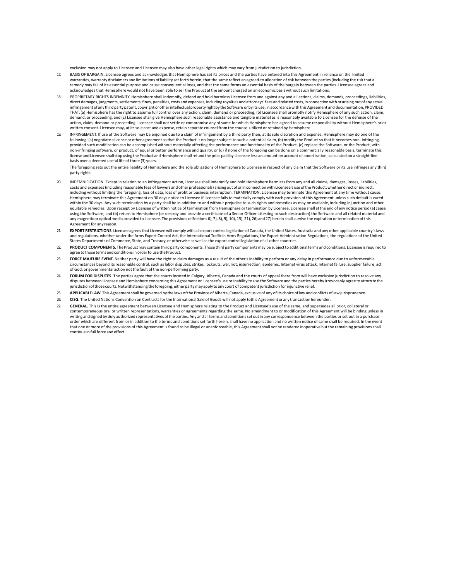exclusion may not apply to Licensee and Licensee may also have other legal rights which may vary from jurisdiction to jurisdiction.

- 17. BASIS OF BARGAIN. Licensee agrees and acknowledges that Hemisphere has set its prices and the parties have entered into this Agreement in reliance on the limited warranties, warranty disclaimers and limitations of liability set forth herein, that the same reflect an agreed‐to allocation of risk between the parties (including the risk that a remedy may fail of its essential purpose and cause consequential loss), and that the same forms an essential basis of the bargain between the parties. Licensee agrees and acknowledges that Hemisphere would not have been able to sell the Product at the amount charged on an economic basis without such limitations.
- 18. PROPRIETARY RIGHTS INDEMNITY. Hemisphere shall indemnify, defend and hold harmless Licensee from and against any and all actions, claims, demands, proceedings, liabilities, direct damages, judgments, settlements, fines, penalties, costs and expenses, including royalties and attorneys' fees and related costs, in connection with or arising out of any actual infringement of any third party patent, copyright or other intellectual property right by the Software or by its use, in accordance with this Agreement and documentation, PROVIDED THAT: (a) Hemisphere has the right to assume full control over any action, claim, demand or proceeding, (b) Licensee shall promptly notify Hemisphere of any such action, claim, demand, or proceeding, and (c) Licensee shall give Hemisphere such reasonable assistance and tangible material as is reasonably available to Licensee for the defense of the action, claim, demand or proceeding. Licensee shall not settle or compromise any of same for which Hemisphere has agreed to assume responsibility without Hemisphere's prior written consent. Licensee may, at its sole cost and expense, retain separate counsel from the counsel utilized or retained by Hemisphere.
- 19. INFRINGEMENT. If use of the Software may be enjoined due to a claim of infringement by a third party then, at its sole discretion and expense, Hemisphere may do one of the following: (a) negotiate a license or other agreement so that the Product is no longer subject to such a potential claim, (b) modify the Product so that it becomes non‐ infringing, provided such modification can be accomplished without materially affecting the performance and functionality of the Product, (c) replace the Software, or the Product, with non‐infringing software, or product, of equal or better performance and quality, or (d) if none of the foregoing can be done on a commercially reasonable basis, terminate this license and Licensee shall stop using the Product and Hemisphere shall refund the price paid by Licensee less an amount on account of amortization, calculated on a straight‐line basis over a deemed useful life of three (3) years.

The foregoing sets out the entire liability of Hemisphere and the sole obligations of Hemisphere to Licensee in respect of any claim that the Software or its use infringes any third party rights.

- 20. INDEMNIFICATION. Except in relation to an infringement action, Licensee shall indemnify and hold Hemisphere harmless from any and all claims, damages, losses, liabilities, costs and expenses (including reasonable fees of lawyers and other professionals) arising out of or in connection with Licensee's use of the Product, whether direct or indirect, including without limiting the foregoing, loss of data, loss of profit or business interruption. TERMINATION. Licensee may terminate this Agreement at any time without cause. Hemisphere may terminate this Agreement on 30 days notice to Licensee if Licensee fails to materially comply with each provision of this Agreement unless such default is cured within the 30 days. Any such termination by a party shall be in addition to and without prejudice to such rights and remedies as may be available, including injunction and other equitable remedies. Upon receipt by Licensee of written notice of termination from Hemisphere or termination by Licensee, Licensee shall at the end of any notice period (a) cease using the Software; and (b) return to Hemisphere (or destroy and provide a certificate of a Senior Officer attesting to such destruction) the Software and all related material and<br>any magneticor optical media provided to L Agreement for any reason.
- 21. **EXPORT RESTRICTIONS**. Licensee agrees that Licensee will comply with all export control legislation of Canada, the United States, Australia and any other applicable country's laws and regulations, whether under the Arms Export Control Act, the International Traffic in Arms Regulations, the Export Administration Regulations, the regulations of the United States Departments of Commerce, State, and Treasury, or otherwise as well as the export control legislation of all other countries.
- 22. **PRODUCT COMPONENTS.** The Product may contain third party components. Those third party components may be subject to additional terms and conditions. Licensee is required to agree to those terms and conditions in order to use the Product.
- 23. **FORCE MAJEURE EVENT.** Neither party will have the right to claim damages as a result of the other's inability to perform or any delay in performance due to unforeseeable circumstances beyond its reasonable control, such as labor disputes, strikes, lockouts, war, riot, insurrection, epidemic, Internet virus attack, Internet failure, supplier failure, act of God, or governmental action not the fault of the non‐performing party.
- 24. **FORUM FOR DISPUTES**. The parties agree that the courts located in Calgary, Alberta, Canada and the courts of appeal there from will have exclusive jurisdiction to resolve any disputes between Licensee and Hemisphere concerning this Agreement or Licensee's use or inability to use the Software and the parties hereby irrevocably agree to attorn to the jurisdiction of those courts. Notwithstanding the foregoing, either party may apply to any court of competent jurisdiction for injunctive relief.
- 25. **APPLICABLE LAW**. This Agreement shall be governed by the laws of the Province of Alberta, Canada, exclusive of any of its choice of law and conflicts of law jurisprudence.
- 26. **CISG.** The United Nations Convention on Contracts for the International Sale of Goods will not apply tothis Agreement or any transaction hereunder.
- 27. **GENERAL.** This is the entire agreement between Licensee and Hemisphere relating to the Product and Licensee's use of the same, and supersedes all prior, collateral or contemporaneous oral or written representations, warranties or agreements regarding the same. No amendment to or modification of this Agreement will be binding unless in writing and signed by duly authorized representatives of the parties. Any and all terms and conditions set out in any correspondence between the parties or set out in a purchase order which are different from or in addition to the terms and conditions set forth herein, shall have no application and no written notice of same shall be required. In the event that one or more of the provisions of this Agreement is found to be illegal or unenforceable, this Agreement shall not be rendered inoperative but the remaining provisions shall continue in full force and effect.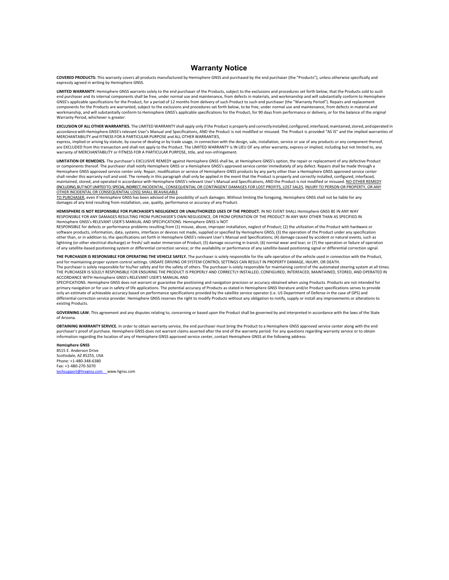#### **Warranty Notice**

**COVERED PRODUCTS:** This warranty covers all products manufactured by Hemisphere GNSS and purchased by the end purchaser (the "Products"), unless otherwise specifically and expressly agreed in writing by Hemisphere GNSS.

**LIMITED WARRANTY:** Hemisphere GNSS warrants solely to the end purchaser of the Products, subject to the exclusions and procedures set forth below, that the Products sold to such end purchaser and its internal components shall be free, under normal use and maintenance, from defects in materials, and workmanship and will substantially conform to Hemisphere GNSS's applicable specifications for the Product, for a period of 12 months from delivery of such Product to such end purchaser (the "Warranty Period"). Repairs and replacement components for the Products are warranted, subject to the exclusions and procedures set forth below, to be free, under normal use and maintenance, from defects in material and workmanship, and will substantially conform to Hemisphere GNSS's applicable specifications for the Product, for 90 days from performance or delivery, or for the balance of the original Warranty Period, whichever is greater.

**EXCLUSION OF ALL OTHER WARRANTIES.** The LIMITED WARRANTY shall apply only if the Product is properly and correctly installed, configured, interfaced, maintained, stored, and operated in accordance with Hemisphere GNSS's relevant User's Manual and Specifications, AND the Product is not modified or misused. The Product is provided "AS IS" and the implied warranties of MERCHANTABILITY and FITNESS FOR A PARTICULAR PURPOSE and ALL OTHER WARRANTIES,

express, implied or arising by statute, by course of dealing or by trade usage, in connection with the design, sale, installation, service or use of any products or any component thereof, are EXCLUDED from this transaction and shall not apply to the Product. The LIMITED WARRANTY is IN LIEU OF any other warranty, express or implied, including but not limited to, any warranty of MERCHANTABILITY or FITNESS FOR A PARTICULAR PURPOSE, title, and non-infringement.

**LIMITATION OF REMEDIES.** The purchaser's EXCLUSIVE REMEDY against Hemisphere GNSS shall be, at Hemisphere GNSS's option, the repair or replacement of any defective Product or components thereof. The purchaser shall notify Hemisphere GNSS or a Hemisphere GNSS's approved service center immediately of any defect. Repairs shall be made through a Hemisphere GNSS approved service center only. Repair, modification or service of Hemisphere GNSS products by any party other than a Hemisphere GNSS approved service center<br>shall render this warranty null and void. The reme maintained, stored, and operated in accordance with Hemisphere GNSS's relevant User's Manual and Specifications, AND the Product is not modified or misused. NO OTHER REMEDY (INCLUDING, BUT NOT LIMITED TO, SPECIAL, INDIRECT, INCIDENTAL, CONSEQUENTIAL OR CONTINGENT DAMAGES FOR LOST PROFITS, LOST SALES, INJURY TO PERSON OR PROPERTY, OR ANY OTHER INCIDENTAL OR CONSEQUENTIAL LOSS) SHALL BE AVAILABLE

TO PURCHASER, even if Hemisphere GNSS has been advised of the possibility of such damages. Without limiting the foregoing, Hemisphere GNSS shall not be liable for any damages of any kind resulting from installation, use, quality, performance or accuracy of any Product.

**HEMISPHERE IS NOT RESPONSIBLE FOR PURCHASER'S NEGLIGENCE OR UNAUTHORIZED USES OF THE PRODUCT.** IN NO EVENT SHALL Hemisphere GNSS BE IN ANY WAY RESPONSIBLE FOR ANY DAMAGES RESULTING FROM PURCHASER'S OWN NEGLIGENCE, OR FROM OPERATION OF THE PRODUCT IN ANY WAY OTHER THAN AS SPECIFIED IN Hemisphere GNSS's RELEVANT USER'S MANUAL AND SPECIFICATIONS. Hemisphere GNSS is NOT

RESPONSIBLE for defects or performance problems resulting from (1) misuse, abuse, improper installation, neglect of Product; (2) the utilization of the Product with hardware or software products, information, data, systems, interfaces or devices not made, supplied or specified by Hemisphere GNSS; (3) the operation of the Product under any specification other than, or in addition to, the specifications set forth in Hemisphere GNSS's relevant User's Manual and Specifications; (4) damage caused by accident or natural events, such as lightning (or other electrical discharge) or fresh/ salt water immersion of Product; (5) damage occurring in transit; (6) normal wear and tear; or (7) the operation or failure of operation<br>of any satellite-based positionin

**THE PURCHASER IS RESPONSIBLE FOR OPERATING THE VEHICLE SAFELY.** The purchaser is solely responsible for the safe operation of the vehicle used in connection with the Product, and for maintaining proper system control settings. UNSAFE DRIVING OR SYSTEM CONTROL SETTINGS CAN RESULT IN PROPERTY DAMAGE, INJURY, OR DEATH.<br>The purchaser is solely responsible for his/her safety and for the safety of ot THE PURCHASER IS SOLELY RESPONSIBLE FOR ENSURING THE PRODUCT IS PROPERLY AND CORRECTLY INSTALLED, CONFIGURED, INTERFACED, MAINTAINED, STORED, AND OPERATED IN ACCORDANCE WITH Hemisphere GNSS's RELEVANT USER'S MANUAL AND

SPECIFICATIONS. Hemisphere GNSS does not warrant or guarantee the positioning and navigation precision or accuracy obtained when using Products. Products are not intended for primary navigation or for use in safety of life applications. The potential accuracy of Products as stated in Hemisphere GNSS literature and/or Product specifications serves to provide only an estimate of achievable accuracy based on performance specifications provided by the satellite service operator (i.e. US Department of Defense in the case of GPS) and differential correction service provider. Hemisphere GNSS reserves the right to modify Products without any obligation to notify, supply or install any improvements or alterations to existing Products.

GOVERNING LAW. This agreement and any disputes relating to, concerning or based upon the Product shall be governed by and interpreted in accordance with the laws of the State of Arizona.

**OBTAINING WARRANTY SERVICE.** In order to obtain warranty service, the end purchaser must bring the Product to a Hemisphere GNSS approved service center along with the end purchaser's proof of purchase. Hemisphere GNSS does not warrant claims asserted after the end of the warranty period. For any questions regarding warranty service or to obtain information regarding the location of any of Hemisphere GNSS approved service center, contact Hemisphere GNSS at the following address:

**Hemisphere GNSS**  8515 E. Anderson Drive

Scottsdale, AZ 85255, USA Phone: +1‐480‐348‐6380 Fax: +1‐480‐270‐5070 www.hgnss.com